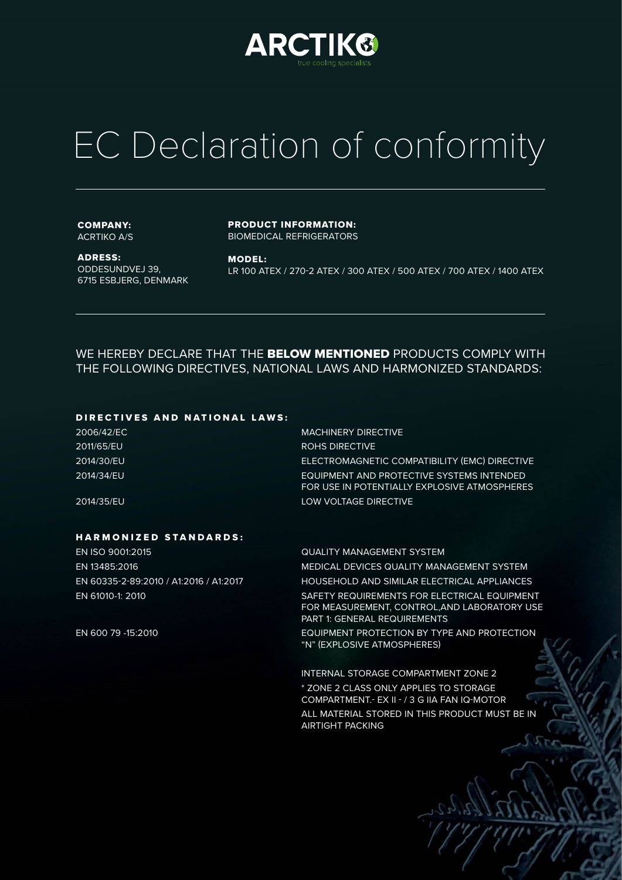

# EC Declaration of conformity

### COMPANY: ACRTIKO A/S

ADRESS: ODDESUNDVEJ 39, 6715 ESBJERG, DENMARK PRODUCT INFORMATION: BIOMEDICAL REFRIGERATORS

MODEL: LR 100 ATEX / 270-2 ATEX / 300 ATEX / 500 ATEX / 700 ATEX / 1400 ATEX

WE HEREBY DECLARE THAT THE BELOW MENTIONED PRODUCTS COMPLY WITH THE FOLLOWING DIRECTIVES, NATIONAL LAWS AND HARMONIZED STANDARDS:

# DIRECTIVES AND NATIONAL LAWS:

| 2006/42/EC | <b>MACHINERY DIRECTIVE</b>                                                                |
|------------|-------------------------------------------------------------------------------------------|
| 2011/65/EU | ROHS DIRECTIVE                                                                            |
| 2014/30/EU | ELECTROMAGNETIC COMPATIBILITY (EMC) DIRECTIVE                                             |
| 2014/34/EU | EQUIPMENT AND PROTECTIVE SYSTEMS INTENDED<br>FOR USE IN POTENTIALLY EXPLOSIVE ATMOSPHERES |
| 2014/35/EU | LOW VOLTAGE DIRECTIVE                                                                     |

# HARMONIZED STANDARDS:

EN ISO 9001:2015 QUALITY MANAGEMENT SYSTEM EN 13485:2016 MEDICAL DEVICES QUALITY MANAGEMENT SYSTEM

EN 60335-2-89:2010 / A1:2016 / A1:2017 HOUSEHOLD AND SIMILAR ELECTRICAL APPLIANCES EN 61010-1: 2010 SAFETY REQUIREMENTS FOR ELECTRICAL EQUIPMENT FOR MEASUREMENT, CONTROL,AND LABORATORY USE PART 1: GENERAL REQUIREMENTS

EN 600 79 -15:2010 EQUIPMENT PROTECTION BY TYPE AND PROTECTION "N" (EXPLOSIVE ATMOSPHERES)

> INTERNAL STORAGE COMPARTMENT ZONE 2 \* ZONE 2 CLASS ONLY APPLIES TO STORAGE COMPARTMENT.- EX II - / 3 G IIA FAN IQ-MOTOR ALL MATERIAL STORED IN THIS PRODUCT MUST BE IN AIRTIGHT PACKING